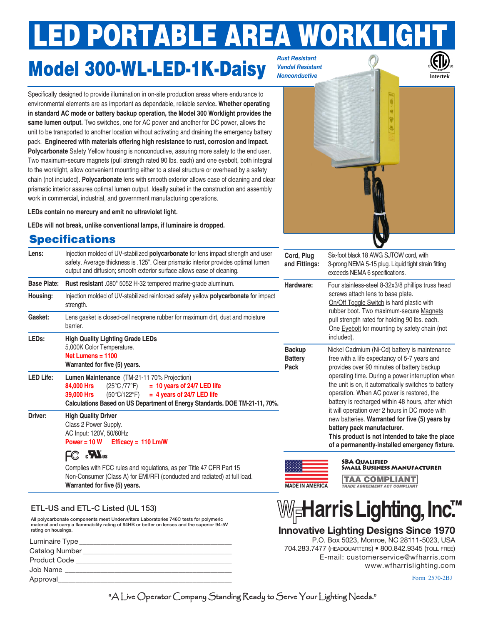# **ED PORTABLE AREA WORKLIG**

## Model 300-WL-LED-1K-Daisy

*Rust Resistant Vandal Resistant Nonconductive* 

> Ú R Ÿ ā

Specifically designed to provide illumination in on-site production areas where endurance to environmental elements are as important as dependable, reliable service**. Whether operating in standard AC mode or battery backup operation, the Model 300 Worklight provides the same lumen output.** Two switches, one for AC power and another for DC power, allows the unit to be transported to another location without activating and draining the emergency battery pack. **Engineered with materials offering high resistance to rust, corrosion and impact. Polycarbonate** Safety Yellow housing is nonconductive, assuring more safety to the end user. Two maximum-secure magnets (pull strength rated 90 lbs. each) and one eyebolt, both integral to the worklight, allow convenient mounting either to a steel structure or overhead by a safety chain (not included). **Polycarbonate** lens with smooth exterior allows ease of cleaning and clear prismatic interior assures optimal lumen output. Ideally suited in the construction and assembly work in commercial, industrial, and government manufacturing operations.

**LEDs contain no mercury and emit no ultraviolet light.**

**LEDs will not break, unlike conventional lamps, if luminaire is dropped.** 

### **Specifications**



All polycarbonate components meet Underwriters Laboratories 746C tests for polymeric material and carry a flammability rating of 94HB or better on lenses and the superior 94-5V rating on housings.

| Luminaire Type      |
|---------------------|
| Catalog Number      |
| <b>Product Code</b> |
| Job Name            |
| Approval            |
|                     |



 P.O. Box 5023, Monroe, NC 28111-5023, USA 704.283.7477 (headquarters) • 800.842.9345 (toll free) E-mail: customerservice@wfharris.com www.wfharrislighting.com

Form 2570-2BJ

"A Live Operator Company Standing Ready to Serve Your Lighting Needs."